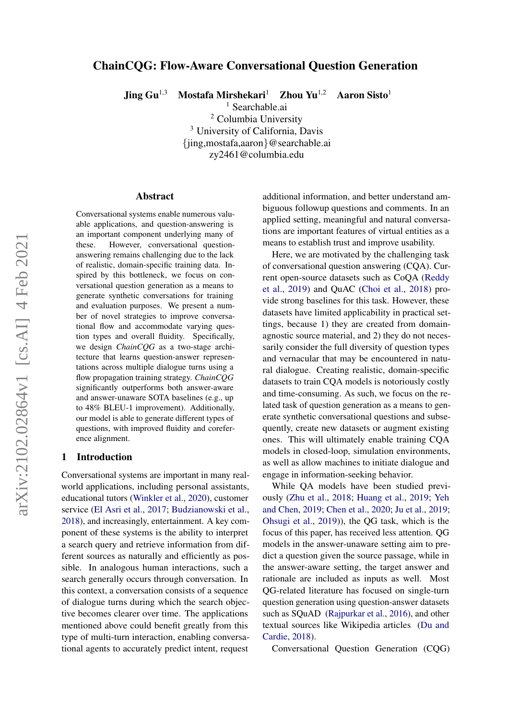# ChainCQG: Flow-Aware Conversational Question Generation

Jing  $\text{Gu}^{1,3}$  Mostafa Mirshekari<sup>1</sup> Zhou Yu<sup>1,2</sup> Aaron Sisto<sup>1</sup>

<sup>1</sup> Searchable.ai <sup>2</sup> Columbia University <sup>3</sup> University of California, Davis {jing,mostafa,aaron}@searchable.ai zy2461@columbia.edu

#### Abstract

Conversational systems enable numerous valuable applications, and question-answering is an important component underlying many of these. However, conversational questionanswering remains challenging due to the lack of realistic, domain-specific training data. Inspired by this bottleneck, we focus on conversational question generation as a means to generate synthetic conversations for training and evaluation purposes. We present a number of novel strategies to improve conversational flow and accommodate varying question types and overall fluidity. Specifically, we design *ChainCQG* as a two-stage architecture that learns question-answer representations across multiple dialogue turns using a flow propagation training strategy. *ChainCQG* significantly outperforms both answer-aware and answer-unaware SOTA baselines (e.g., up to 48% BLEU-1 improvement). Additionally, our model is able to generate different types of questions, with improved fluidity and coreference alignment.

# <span id="page-0-0"></span>1 Introduction

Conversational systems are important in many realworld applications, including personal assistants, educational tutors [\(Winkler et al.,](#page-9-0) [2020\)](#page-9-0), customer service [\(El Asri et al.,](#page-8-0) [2017;](#page-8-0) [Budzianowski et al.,](#page-7-0) [2018\)](#page-7-0), and increasingly, entertainment. A key component of these systems is the ability to interpret a search query and retrieve information from different sources as naturally and efficiently as possible. In analogous human interactions, such a search generally occurs through conversation. In this context, a conversation consists of a sequence of dialogue turns during which the search objective becomes clearer over time. The applications mentioned above could benefit greatly from this type of multi-turn interaction, enabling conversational agents to accurately predict intent, request additional information, and better understand ambiguous followup questions and comments. In an applied setting, meaningful and natural conversations are important features of virtual entities as a means to establish trust and improve usability.

Here, we are motivated by the challenging task of conversational question answering (CQA). Current open-source datasets such as CoQA [\(Reddy](#page-9-1) [et al.,](#page-9-1) [2019\)](#page-9-1) and QuAC [\(Choi et al.,](#page-8-1) [2018\)](#page-8-1) provide strong baselines for this task. However, these datasets have limited applicability in practical settings, because 1) they are created from domainagnostic source material, and 2) they do not necessarily consider the full diversity of question types and vernacular that may be encountered in natural dialogue. Creating realistic, domain-specific datasets to train CQA models is notoriously costly and time-consuming. As such, we focus on the related task of question generation as a means to generate synthetic conversational questions and subsequently, create new datasets or augment existing ones. This will ultimately enable training CQA models in closed-loop, simulation environments, as well as allow machines to initiate dialogue and engage in information-seeking behavior.

While QA models have been studied previously [\(Zhu et al.,](#page-9-2) [2018;](#page-9-2) [Huang et al.,](#page-8-2) [2019;](#page-8-2) [Yeh](#page-9-3) [and Chen,](#page-9-3) [2019;](#page-9-3) [Chen et al.,](#page-8-3) [2020;](#page-8-3) [Ju et al.,](#page-8-4) [2019;](#page-8-4) [Ohsugi et al.,](#page-8-5) [2019\)](#page-8-5)), the QG task, which is the focus of this paper, has received less attention. QG models in the answer-unaware setting aim to predict a question given the source passage, while in the answer-aware setting, the target answer and rationale are included as inputs as well. Most QG-related literature has focused on single-turn question generation using question-answer datasets such as SQuAD [\(Rajpurkar et al.,](#page-9-4) [2016\)](#page-9-4), and other textual sources like Wikipedia articles [\(Du and](#page-8-6) [Cardie,](#page-8-6) [2018\)](#page-8-6).

Conversational Question Generation (CQG)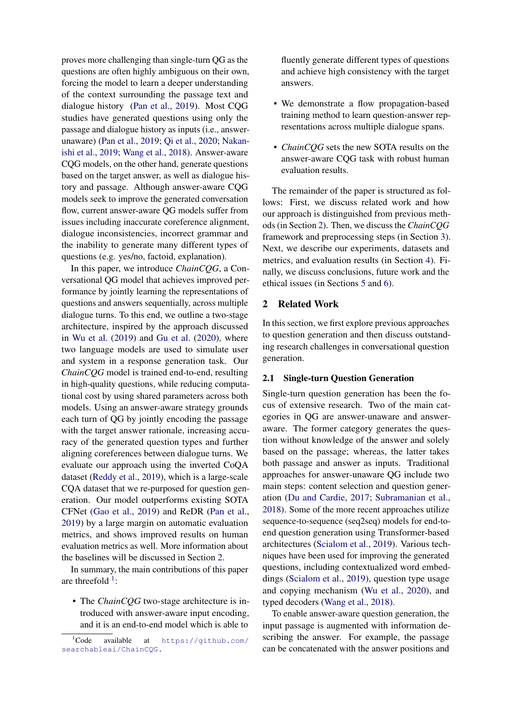proves more challenging than single-turn QG as the questions are often highly ambiguous on their own, forcing the model to learn a deeper understanding of the context surrounding the passage text and dialogue history [\(Pan et al.,](#page-9-5) [2019\)](#page-9-5). Most CQG studies have generated questions using only the passage and dialogue history as inputs (i.e., answerunaware) [\(Pan et al.,](#page-9-5) [2019;](#page-9-5) [Qi et al.,](#page-9-6) [2020;](#page-9-6) [Nakan](#page-8-7)[ishi et al.,](#page-8-7) [2019;](#page-8-7) [Wang et al.,](#page-9-7) [2018\)](#page-9-7). Answer-aware CQG models, on the other hand, generate questions based on the target answer, as well as dialogue history and passage. Although answer-aware CQG models seek to improve the generated conversation flow, current answer-aware QG models suffer from issues including inaccurate coreference alignment, dialogue inconsistencies, incorrect grammar and the inability to generate many different types of questions (e.g. yes/no, factoid, explanation).

In this paper, we introduce *ChainCQG*, a Conversational QG model that achieves improved performance by jointly learning the representations of questions and answers sequentially, across multiple dialogue turns. To this end, we outline a two-stage architecture, inspired by the approach discussed in [Wu et al.](#page-9-8) [\(2019\)](#page-9-8) and [Gu et al.](#page-8-8) [\(2020\)](#page-8-8), where two language models are used to simulate user and system in a response generation task. Our *ChainCQG* model is trained end-to-end, resulting in high-quality questions, while reducing computational cost by using shared parameters across both models. Using an answer-aware strategy grounds each turn of QG by jointly encoding the passage with the target answer rationale, increasing accuracy of the generated question types and further aligning coreferences between dialogue turns. We evaluate our approach using the inverted CoQA dataset [\(Reddy et al.,](#page-9-1) [2019\)](#page-9-1), which is a large-scale CQA dataset that we re-purposed for question generation. Our model outperforms existing SOTA CFNet [\(Gao et al.,](#page-8-9) [2019\)](#page-8-9) and ReDR [\(Pan et al.,](#page-9-5) [2019\)](#page-9-5) by a large margin on automatic evaluation metrics, and shows improved results on human evaluation metrics as well. More information about the baselines will be discussed in Section [2.](#page-1-0)

In summary, the main contributions of this paper are threefold  $1$ :

• The *ChainCQG* two-stage architecture is introduced with answer-aware input encoding, and it is an end-to-end model which is able to

fluently generate different types of questions and achieve high consistency with the target answers.

- We demonstrate a flow propagation-based training method to learn question-answer representations across multiple dialogue spans.
- *ChainCQG* sets the new SOTA results on the answer-aware CQG task with robust human evaluation results.

The remainder of the paper is structured as follows: First, we discuss related work and how our approach is distinguished from previous methods (in Section [2\)](#page-1-0). Then, we discuss the *ChainCQG* framework and preprocessing steps (in Section [3\)](#page-2-0). Next, we describe our experiments, datasets and metrics, and evaluation results (in Section [4\)](#page-3-0). Finally, we discuss conclusions, future work and the ethical issues (in Sections [5](#page-7-1) and [6\)](#page-7-2).

# <span id="page-1-0"></span>2 Related Work

In this section, we first explore previous approaches to question generation and then discuss outstanding research challenges in conversational question generation.

# 2.1 Single-turn Question Generation

Single-turn question generation has been the focus of extensive research. Two of the main categories in QG are answer-unaware and answeraware. The former category generates the question without knowledge of the answer and solely based on the passage; whereas, the latter takes both passage and answer as inputs. Traditional approaches for answer-unaware QG include two main steps: content selection and question generation [\(Du and Cardie,](#page-8-10) [2017;](#page-8-10) [Subramanian et al.,](#page-9-9) [2018\)](#page-9-9). Some of the more recent approaches utilize sequence-to-sequence (seq2seq) models for end-toend question generation using Transformer-based architectures [\(Scialom et al.,](#page-9-10) [2019\)](#page-9-10). Various techniques have been used for improving the generated questions, including contextualized word embeddings [\(Scialom et al.,](#page-9-10) [2019\)](#page-9-10), question type usage and copying mechanism [\(Wu et al.,](#page-9-11) [2020\)](#page-9-11), and typed decoders [\(Wang et al.,](#page-9-7) [2018\)](#page-9-7).

To enable answer-aware question generation, the input passage is augmented with information describing the answer. For example, the passage can be concatenated with the answer positions and

<span id="page-1-1"></span> ${}^{1}$ Code available at [https://github.com/](https://github.com/searchableai/ChainCQG.) [searchableai/ChainCQG.](https://github.com/searchableai/ChainCQG.)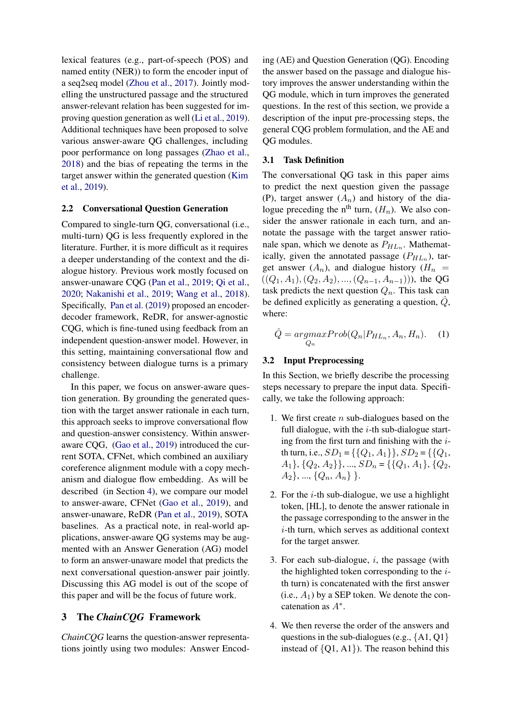lexical features (e.g., part-of-speech (POS) and named entity (NER)) to form the encoder input of a seq2seq model [\(Zhou et al.,](#page-9-12) [2017\)](#page-9-12). Jointly modelling the unstructured passage and the structured answer-relevant relation has been suggested for improving question generation as well [\(Li et al.,](#page-8-11) [2019\)](#page-8-11). Additional techniques have been proposed to solve various answer-aware QG challenges, including poor performance on long passages [\(Zhao et al.,](#page-9-13) [2018\)](#page-9-13) and the bias of repeating the terms in the target answer within the generated question [\(Kim](#page-8-12) [et al.,](#page-8-12) [2019\)](#page-8-12).

### 2.2 Conversational Question Generation

Compared to single-turn QG, conversational (i.e., multi-turn) QG is less frequently explored in the literature. Further, it is more difficult as it requires a deeper understanding of the context and the dialogue history. Previous work mostly focused on answer-unaware CQG [\(Pan et al.,](#page-9-5) [2019;](#page-9-5) [Qi et al.,](#page-9-6) [2020;](#page-9-6) [Nakanishi et al.,](#page-8-7) [2019;](#page-8-7) [Wang et al.,](#page-9-7) [2018\)](#page-9-7). Specifically, [Pan et al.](#page-9-5) [\(2019\)](#page-9-5) proposed an encoderdecoder framework, ReDR, for answer-agnostic CQG, which is fine-tuned using feedback from an independent question-answer model. However, in this setting, maintaining conversational flow and consistency between dialogue turns is a primary challenge.

In this paper, we focus on answer-aware question generation. By grounding the generated question with the target answer rationale in each turn, this approach seeks to improve conversational flow and question-answer consistency. Within answeraware CQG, [\(Gao et al.,](#page-8-9) [2019\)](#page-8-9) introduced the current SOTA, CFNet, which combined an auxiliary coreference alignment module with a copy mechanism and dialogue flow embedding. As will be described (in Section [4\)](#page-3-0), we compare our model to answer-aware, CFNet [\(Gao et al.,](#page-8-9) [2019\)](#page-8-9), and answer-unaware, ReDR [\(Pan et al.,](#page-9-5) [2019\)](#page-9-5), SOTA baselines. As a practical note, in real-world applications, answer-aware QG systems may be augmented with an Answer Generation (AG) model to form an answer-unaware model that predicts the next conversational question-answer pair jointly. Discussing this AG model is out of the scope of this paper and will be the focus of future work.

# <span id="page-2-0"></span>3 The *ChainCQG* Framework

*ChainCQG* learns the question-answer representations jointly using two modules: Answer Encod-

ing (AE) and Question Generation (QG). Encoding the answer based on the passage and dialogue history improves the answer understanding within the QG module, which in turn improves the generated questions. In the rest of this section, we provide a description of the input pre-processing steps, the general CQG problem formulation, and the AE and QG modules.

#### 3.1 Task Definition

The conversational QG task in this paper aims to predict the next question given the passage (P), target answer  $(A_n)$  and history of the dialogue preceding the n<sup>th</sup> turn,  $(H_n)$ . We also consider the answer rationale in each turn, and annotate the passage with the target answer rationale span, which we denote as  $P_{HL_n}$ . Mathematically, given the annotated passage  $(P_{HL_n})$ , target answer  $(A_n)$ , and dialogue history  $(H_n =$  $((Q_1, A_1), (Q_2, A_2), ..., (Q_{n-1}, A_{n-1})))$ , the QG task predicts the next question  $Q_n$ . This task can be defined explicitly as generating a question,  $Q$ , where:

$$
\hat{Q} = \underset{Q_n}{\operatorname{argmax}} Prob(Q_n | P_{HL_n}, A_n, H_n). \quad (1)
$$

#### <span id="page-2-1"></span>3.2 Input Preprocessing

In this Section, we briefly describe the processing steps necessary to prepare the input data. Specifically, we take the following approach:

- 1. We first create  $n$  sub-dialogues based on the full dialogue, with the  $i$ -th sub-dialogue starting from the first turn and finishing with the  $i$ th turn, i.e.,  $SD_1 = \{\{Q_1, A_1\}\}\$ ,  $SD_2 = \{\{Q_1, A_2\}\}\$  $A_1$ ,  $\{Q_2, A_2\}$ , ...,  $SD_n = \{\{Q_1, A_1\}, \{Q_2, A_2\}\}$  $A_2$ , ...,  $\{Q_n, A_n\}$ .
- 2. For the  $i$ -th sub-dialogue, we use a highlight token, [HL], to denote the answer rationale in the passage corresponding to the answer in the i-th turn, which serves as additional context for the target answer.
- 3. For each sub-dialogue,  $i$ , the passage (with the highlighted token corresponding to the  $i$ th turn) is concatenated with the first answer (i.e.,  $A_1$ ) by a SEP token. We denote the concatenation as  $A^*$ .
- 4. We then reverse the order of the answers and questions in the sub-dialogues (e.g.,  $\{A1, Q1\}$ ) instead of  $\{Q1, A1\}$ ). The reason behind this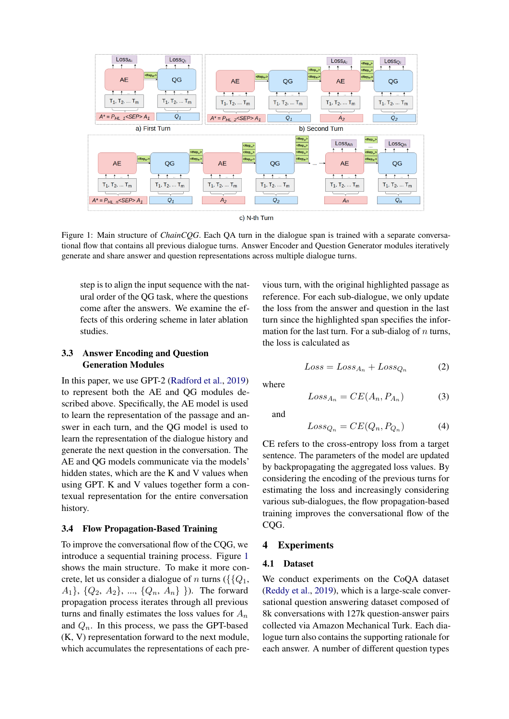<span id="page-3-1"></span>

Figure 1: Main structure of *ChainCQG*. Each QA turn in the dialogue span is trained with a separate conversational flow that contains all previous dialogue turns. Answer Encoder and Question Generator modules iteratively generate and share answer and question representations across multiple dialogue turns.

step is to align the input sequence with the natural order of the QG task, where the questions come after the answers. We examine the effects of this ordering scheme in later ablation studies.

# <span id="page-3-2"></span>3.3 Answer Encoding and Question Generation Modules

In this paper, we use GPT-2 [\(Radford et al.,](#page-9-14) [2019\)](#page-9-14) to represent both the AE and QG modules described above. Specifically, the AE model is used to learn the representation of the passage and answer in each turn, and the QG model is used to learn the representation of the dialogue history and generate the next question in the conversation. The AE and QG models communicate via the models' hidden states, which are the K and V values when using GPT. K and V values together form a contexual representation for the entire conversation history.

### 3.4 Flow Propagation-Based Training

To improve the conversational flow of the CQG, we introduce a sequential training process. Figure [1](#page-3-1) shows the main structure. To make it more concrete, let us consider a dialogue of n turns ( $\{\{Q_1,$  $A_1$ ,  $\{Q_2, A_2\}$ , ...,  $\{Q_n, A_n\}$  }). The forward propagation process iterates through all previous turns and finally estimates the loss values for  $A_n$ and  $Q_n$ . In this process, we pass the GPT-based (K, V) representation forward to the next module, which accumulates the representations of each previous turn, with the original highlighted passage as reference. For each sub-dialogue, we only update the loss from the answer and question in the last turn since the highlighted span specifies the information for the last turn. For a sub-dialog of  $n$  turns, the loss is calculated as

$$
Loss = Loss_{A_n} + Loss_{Q_n} \tag{2}
$$

where

$$
Loss_{A_n} = CE(A_n, P_{A_n})
$$
 (3)

and

$$
Loss_{Q_n} = CE(Q_n, P_{Q_n})
$$
\n(4)

CE refers to the cross-entropy loss from a target sentence. The parameters of the model are updated by backpropagating the aggregated loss values. By considering the encoding of the previous turns for estimating the loss and increasingly considering various sub-dialogues, the flow propagation-based training improves the conversational flow of the COG.

### <span id="page-3-0"></span>4 Experiments

# 4.1 Dataset

We conduct experiments on the CoQA dataset [\(Reddy et al.,](#page-9-1) [2019\)](#page-9-1), which is a large-scale conversational question answering dataset composed of 8k conversations with 127k question-answer pairs collected via Amazon Mechanical Turk. Each dialogue turn also contains the supporting rationale for each answer. A number of different question types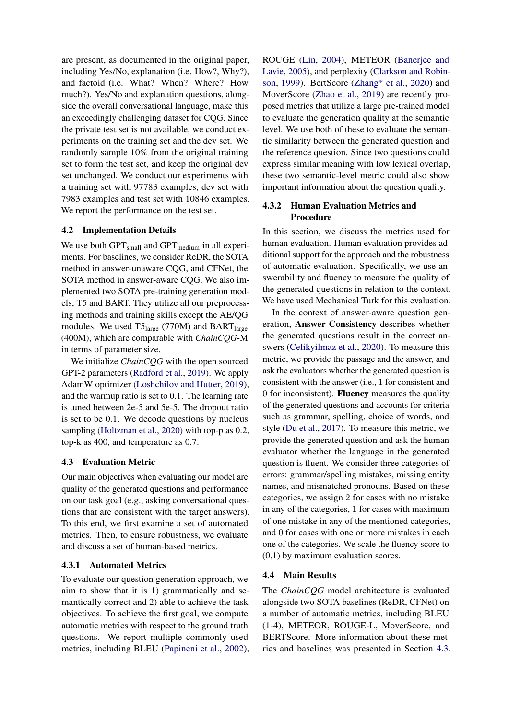are present, as documented in the original paper, including Yes/No, explanation (i.e. How?, Why?), and factoid (i.e. What? When? Where? How much?). Yes/No and explanation questions, alongside the overall conversational language, make this an exceedingly challenging dataset for CQG. Since the private test set is not available, we conduct experiments on the training set and the dev set. We randomly sample 10% from the original training set to form the test set, and keep the original dev set unchanged. We conduct our experiments with a training set with 97783 examples, dev set with 7983 examples and test set with 10846 examples. We report the performance on the test set.

# 4.2 Implementation Details

We use both  $GPT_{small}$  and  $GPT_{medium}$  in all experiments. For baselines, we consider ReDR, the SOTA method in answer-unaware CQG, and CFNet, the SOTA method in answer-aware CQG. We also implemented two SOTA pre-training generation models, T5 and BART. They utilize all our preprocessing methods and training skills except the AE/QG modules. We used  $T5_{\text{large}}$  (770M) and BART<sub>large</sub> (400M), which are comparable with *ChainCQG*-M in terms of parameter size.

We initialize *ChainCQG* with the open sourced GPT-2 parameters [\(Radford et al.,](#page-9-14) [2019\)](#page-9-14). We apply AdamW optimizer [\(Loshchilov and Hutter,](#page-8-13) [2019\)](#page-8-13), and the warmup ratio is set to 0.1. The learning rate is tuned between 2e-5 and 5e-5. The dropout ratio is set to be 0.1. We decode questions by nucleus sampling [\(Holtzman et al.,](#page-8-14) [2020\)](#page-8-14) with top-p as 0.2, top-k as 400, and temperature as 0.7.

### <span id="page-4-0"></span>4.3 Evaluation Metric

Our main objectives when evaluating our model are quality of the generated questions and performance on our task goal (e.g., asking conversational questions that are consistent with the target answers). To this end, we first examine a set of automated metrics. Then, to ensure robustness, we evaluate and discuss a set of human-based metrics.

## 4.3.1 Automated Metrics

To evaluate our question generation approach, we aim to show that it is 1) grammatically and semantically correct and 2) able to achieve the task objectives. To achieve the first goal, we compute automatic metrics with respect to the ground truth questions. We report multiple commonly used metrics, including BLEU [\(Papineni et al.,](#page-9-15) [2002\)](#page-9-15),

ROUGE [\(Lin,](#page-8-15) [2004\)](#page-8-15), METEOR [\(Banerjee and](#page-7-3) [Lavie,](#page-7-3) [2005\)](#page-7-3), and perplexity [\(Clarkson and Robin](#page-8-16)[son,](#page-8-16) [1999\)](#page-8-16). BertScore [\(Zhang\\* et al.,](#page-9-16) [2020\)](#page-9-16) and MoverScore [\(Zhao et al.,](#page-9-17) [2019\)](#page-9-17) are recently proposed metrics that utilize a large pre-trained model to evaluate the generation quality at the semantic level. We use both of these to evaluate the semantic similarity between the generated question and the reference question. Since two questions could express similar meaning with low lexical overlap, these two semantic-level metric could also show important information about the question quality.

# 4.3.2 Human Evaluation Metrics and Procedure

In this section, we discuss the metrics used for human evaluation. Human evaluation provides additional support for the approach and the robustness of automatic evaluation. Specifically, we use answerability and fluency to measure the quality of the generated questions in relation to the context. We have used Mechanical Turk for this evaluation.

In the context of answer-aware question generation, Answer Consistency describes whether the generated questions result in the correct answers [\(Celikyilmaz et al.,](#page-8-17) [2020\)](#page-8-17). To measure this metric, we provide the passage and the answer, and ask the evaluators whether the generated question is consistent with the answer (i.e., 1 for consistent and 0 for inconsistent). Fluency measures the quality of the generated questions and accounts for criteria such as grammar, spelling, choice of words, and style [\(Du et al.,](#page-8-18) [2017\)](#page-8-18). To measure this metric, we provide the generated question and ask the human evaluator whether the language in the generated question is fluent. We consider three categories of errors: grammar/spelling mistakes, missing entity names, and mismatched pronouns. Based on these categories, we assign 2 for cases with no mistake in any of the categories, 1 for cases with maximum of one mistake in any of the mentioned categories, and 0 for cases with one or more mistakes in each one of the categories. We scale the fluency score to (0,1) by maximum evaluation scores.

### 4.4 Main Results

The *ChainCQG* model architecture is evaluated alongside two SOTA baselines (ReDR, CFNet) on a number of automatic metrics, including BLEU (1-4), METEOR, ROUGE-L, MoverScore, and BERTScore. More information about these metrics and baselines was presented in Section [4.3.](#page-4-0)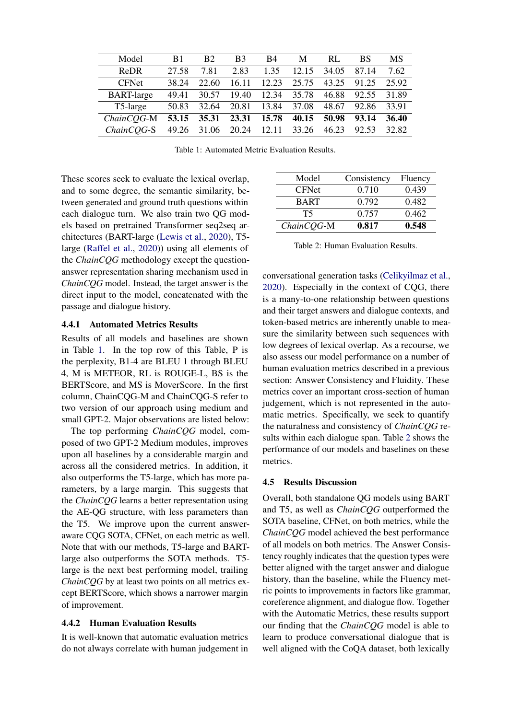<span id="page-5-0"></span>

| Model             | B1    | B <sub>2</sub> | B <sub>3</sub> | B4    | M     | RL    | BS    | MS    |
|-------------------|-------|----------------|----------------|-------|-------|-------|-------|-------|
| <b>ReDR</b>       | 27.58 | 7.81           | 2.83           | 1.35  | 12.15 | 34.05 | 87.14 | 7.62  |
| <b>CFNet</b>      | 38.24 | 22.60          | 16.11          | 12.23 | 25.75 | 43.25 | 91.25 | 25.92 |
| <b>BART-large</b> | 49.41 | 30.57          | 19.40          | 12.34 | 35.78 | 46.88 | 92.55 | 31.89 |
| T5-large          | 50.83 | 32.64          | 20.81          | 13.84 | 37.08 | 48.67 | 92.86 | 33.91 |
| $ChainCOG-M$      | 53.15 | 35.31          | 23.31          | 15.78 | 40.15 | 50.98 | 93.14 | 36.40 |
| $ChainCOG-S$      | 49.26 | 31.06          | 20.24          | 12.11 | 33.26 | 46.23 | 92.53 | 32.82 |

Table 1: Automated Metric Evaluation Results.

These scores seek to evaluate the lexical overlap, and to some degree, the semantic similarity, between generated and ground truth questions within each dialogue turn. We also train two QG models based on pretrained Transformer seq2seq architectures (BART-large [\(Lewis et al.,](#page-8-19) [2020\)](#page-8-19), T5 large [\(Raffel et al.,](#page-9-18) [2020\)](#page-9-18)) using all elements of the *ChainCQG* methodology except the questionanswer representation sharing mechanism used in *ChainCQG* model. Instead, the target answer is the direct input to the model, concatenated with the passage and dialogue history.

#### 4.4.1 Automated Metrics Results

Results of all models and baselines are shown in Table [1.](#page-5-0) In the top row of this Table, P is the perplexity, B1-4 are BLEU 1 through BLEU 4, M is METEOR, RL is ROUGE-L, BS is the BERTScore, and MS is MoverScore. In the first column, ChainCQG-M and ChainCQG-S refer to two version of our approach using medium and small GPT-2. Major observations are listed below:

The top performing *ChainCQG* model, composed of two GPT-2 Medium modules, improves upon all baselines by a considerable margin and across all the considered metrics. In addition, it also outperforms the T5-large, which has more parameters, by a large margin. This suggests that the *ChainCQG* learns a better representation using the AE-QG structure, with less parameters than the T5. We improve upon the current answeraware CQG SOTA, CFNet, on each metric as well. Note that with our methods, T5-large and BARTlarge also outperforms the SOTA methods. T5 large is the next best performing model, trailing *ChainCQG* by at least two points on all metrics except BERTScore, which shows a narrower margin of improvement.

#### 4.4.2 Human Evaluation Results

It is well-known that automatic evaluation metrics do not always correlate with human judgement in

<span id="page-5-1"></span>

|             | 0.548   |
|-------------|---------|
| 0.757       | 0.462   |
| 0.792       | 0.482   |
| 0.710       | 0.439   |
| Consistency | Fluency |
|             | 0.817   |

Table 2: Human Evaluation Results.

conversational generation tasks [\(Celikyilmaz et al.,](#page-8-17) [2020\)](#page-8-17). Especially in the context of CQG, there is a many-to-one relationship between questions and their target answers and dialogue contexts, and token-based metrics are inherently unable to measure the similarity between such sequences with low degrees of lexical overlap. As a recourse, we also assess our model performance on a number of human evaluation metrics described in a previous section: Answer Consistency and Fluidity. These metrics cover an important cross-section of human judgement, which is not represented in the automatic metrics. Specifically, we seek to quantify the naturalness and consistency of *ChainCQG* results within each dialogue span. Table [2](#page-5-1) shows the performance of our models and baselines on these metrics.

#### 4.5 Results Discussion

Overall, both standalone QG models using BART and T5, as well as *ChainCQG* outperformed the SOTA baseline, CFNet, on both metrics, while the *ChainCQG* model achieved the best performance of all models on both metrics. The Answer Consistency roughly indicates that the question types were better aligned with the target answer and dialogue history, than the baseline, while the Fluency metric points to improvements in factors like grammar, coreference alignment, and dialogue flow. Together with the Automatic Metrics, these results support our finding that the *ChainCQG* model is able to learn to produce conversational dialogue that is well aligned with the CoQA dataset, both lexically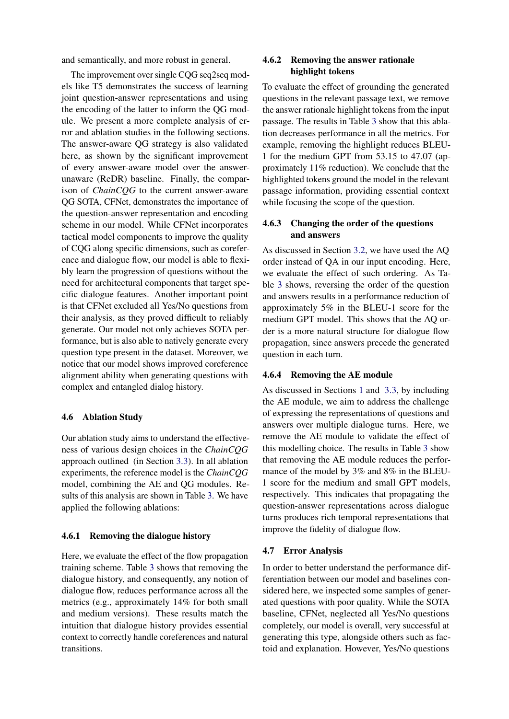and semantically, and more robust in general.

The improvement over single CQG seq2seq models like T5 demonstrates the success of learning joint question-answer representations and using the encoding of the latter to inform the QG module. We present a more complete analysis of error and ablation studies in the following sections. The answer-aware QG strategy is also validated here, as shown by the significant improvement of every answer-aware model over the answerunaware (ReDR) baseline. Finally, the comparison of *ChainCQG* to the current answer-aware QG SOTA, CFNet, demonstrates the importance of the question-answer representation and encoding scheme in our model. While CFNet incorporates tactical model components to improve the quality of CQG along specific dimensions, such as coreference and dialogue flow, our model is able to flexibly learn the progression of questions without the need for architectural components that target specific dialogue features. Another important point is that CFNet excluded all Yes/No questions from their analysis, as they proved difficult to reliably generate. Our model not only achieves SOTA performance, but is also able to natively generate every question type present in the dataset. Moreover, we notice that our model shows improved coreference alignment ability when generating questions with complex and entangled dialog history.

# 4.6 Ablation Study

Our ablation study aims to understand the effectiveness of various design choices in the *ChainCQG* approach outlined (in Section [3.3\)](#page-3-2). In all ablation experiments, the reference model is the *ChainCQG* model, combining the AE and QG modules. Results of this analysis are shown in Table [3.](#page-7-4) We have applied the following ablations:

# 4.6.1 Removing the dialogue history

Here, we evaluate the effect of the flow propagation training scheme. Table [3](#page-7-4) shows that removing the dialogue history, and consequently, any notion of dialogue flow, reduces performance across all the metrics (e.g., approximately 14% for both small and medium versions). These results match the intuition that dialogue history provides essential context to correctly handle coreferences and natural transitions.

# 4.6.2 Removing the answer rationale highlight tokens

To evaluate the effect of grounding the generated questions in the relevant passage text, we remove the answer rationale highlight tokens from the input passage. The results in Table [3](#page-7-4) show that this ablation decreases performance in all the metrics. For example, removing the highlight reduces BLEU-1 for the medium GPT from 53.15 to 47.07 (approximately 11% reduction). We conclude that the highlighted tokens ground the model in the relevant passage information, providing essential context while focusing the scope of the question.

# 4.6.3 Changing the order of the questions and answers

As discussed in Section [3.2,](#page-2-1) we have used the AQ order instead of QA in our input encoding. Here, we evaluate the effect of such ordering. As Table [3](#page-7-4) shows, reversing the order of the question and answers results in a performance reduction of approximately 5% in the BLEU-1 score for the medium GPT model. This shows that the AQ order is a more natural structure for dialogue flow propagation, since answers precede the generated question in each turn.

# 4.6.4 Removing the AE module

As discussed in Sections [1](#page-0-0) and [3.3,](#page-3-2) by including the AE module, we aim to address the challenge of expressing the representations of questions and answers over multiple dialogue turns. Here, we remove the AE module to validate the effect of this modelling choice. The results in Table [3](#page-7-4) show that removing the AE module reduces the performance of the model by 3% and 8% in the BLEU-1 score for the medium and small GPT models, respectively. This indicates that propagating the question-answer representations across dialogue turns produces rich temporal representations that improve the fidelity of dialogue flow.

#### 4.7 Error Analysis

In order to better understand the performance differentiation between our model and baselines considered here, we inspected some samples of generated questions with poor quality. While the SOTA baseline, CFNet, neglected all Yes/No questions completely, our model is overall, very successful at generating this type, alongside others such as factoid and explanation. However, Yes/No questions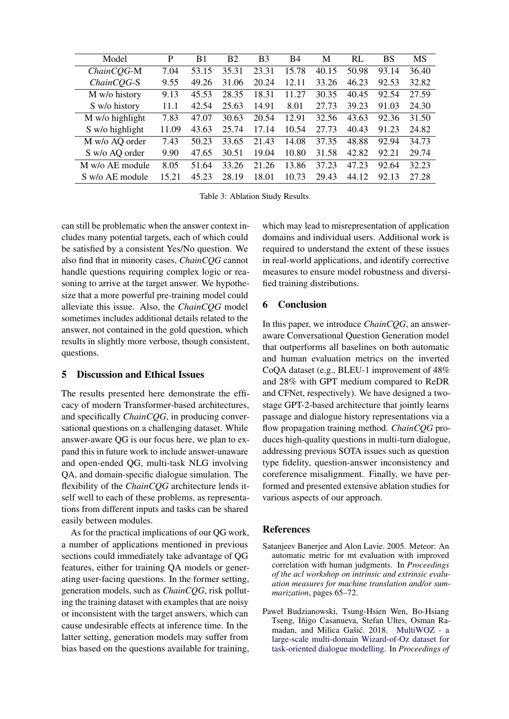<span id="page-7-4"></span>

| Model           | P     | B1    | B <sub>2</sub> | B <sub>3</sub> | <b>B4</b> | M     | RL    | BS    | MS    |
|-----------------|-------|-------|----------------|----------------|-----------|-------|-------|-------|-------|
| ChainCQG-M      | 7.04  | 53.15 | 35.31          | 23.31          | 15.78     | 40.15 | 50.98 | 93.14 | 36.40 |
| ChainCQG-S      | 9.55  | 49.26 | 31.06          | 20.24          | 12.11     | 33.26 | 46.23 | 92.53 | 32.82 |
| M w/o history   | 9.13  | 45.53 | 28.35          | 18.31          | .27<br>11 | 30.35 | 40.45 | 92.54 | 27.59 |
| S w/o history   | 11.1  | 42.54 | 25.63          | 14.91          | 8.01      | 27.73 | 39.23 | 91.03 | 24.30 |
| M w/o highlight | 7.83  | 47.07 | 30.63          | 20.54          | 12.91     | 32.56 | 43.63 | 92.36 | 31.50 |
| S w/o highlight | 11.09 | 43.63 | 25.74          | 17.14          | 10.54     | 27.73 | 40.43 | 91.23 | 24.82 |
| M w/o AQ order  | 7.43  | 50.23 | 33.65          | 21.43          | 14.08     | 37.35 | 48.88 | 92.94 | 34.73 |
| S w/o AQ order  | 9.90  | 47.65 | 30.51          | 19.04          | 10.80     | 31.58 | 42.82 | 92.21 | 29.74 |
| M w/o AE module | 8.05  | 51.64 | 33.26          | 21.26          | 13.86     | 37.23 | 47.23 | 92.64 | 32.23 |
| S w/o AE module | 15.21 | 45.23 | 28.19          | 18.01          | 10.73     | 29.43 | 44.12 | 92.13 | 27.28 |

Table 3: Ablation Study Results.

can still be problematic when the answer context includes many potential targets, each of which could be satisfied by a consistent Yes/No question. We also find that in minority cases, *ChainCQG* cannot handle questions requiring complex logic or reasoning to arrive at the target answer. We hypothesize that a more powerful pre-training model could alleviate this issue. Also, the *ChainCQG* model sometimes includes additional details related to the answer, not contained in the gold question, which results in slightly more verbose, though consistent, questions.

# <span id="page-7-1"></span>5 Discussion and Ethical Issues

The results presented here demonstrate the efficacy of modern Transformer-based architectures, and specifically *ChainCQG*, in producing conversational questions on a challenging dataset. While answer-aware QG is our focus here, we plan to expand this in future work to include answer-unaware and open-ended QG, multi-task NLG involving QA, and domain-specific dialogue simulation. The flexibility of the *ChainCQG* architecture lends itself well to each of these problems, as representations from different inputs and tasks can be shared easily between modules.

As for the practical implications of our QG work, a number of applications mentioned in previous sections could immediately take advantage of QG features, either for training QA models or generating user-facing questions. In the former setting, generation models, such as *ChainCQG*, risk polluting the training dataset with examples that are noisy or inconsistent with the target answers, which can cause undesirable effects at inference time. In the latter setting, generation models may suffer from bias based on the questions available for training,

which may lead to misrepresentation of application domains and individual users. Additional work is required to understand the extent of these issues in real-world applications, and identify corrective measures to ensure model robustness and diversified training distributions.

# <span id="page-7-2"></span>6 Conclusion

In this paper, we introduce *ChainCQG*, an answeraware Conversational Question Generation model that outperforms all baselines on both automatic and human evaluation metrics on the inverted CoQA dataset (e.g., BLEU-1 improvement of 48% and 28% with GPT medium compared to ReDR and CFNet, respectively). We have designed a twostage GPT-2-based architecture that jointly learns passage and dialogue history representations via a flow propagation training method. *ChainCQG* produces high-quality questions in multi-turn dialogue, addressing previous SOTA issues such as question type fidelity, question-answer inconsistency and coreference misalignment. Finally, we have performed and presented extensive ablation studies for various aspects of our approach.

# References

- <span id="page-7-3"></span>Satanjeev Banerjee and Alon Lavie. 2005. Meteor: An automatic metric for mt evaluation with improved correlation with human judgments. In *Proceedings of the acl workshop on intrinsic and extrinsic evaluation measures for machine translation and/or summarization*, pages 65–72.
- <span id="page-7-0"></span>Paweł Budzianowski, Tsung-Hsien Wen, Bo-Hsiang Tseng, Iñigo Casanueva, Stefan Ultes, Osman Ra-madan, and Milica Gašić. 2018. [MultiWOZ - a](https://doi.org/10.18653/v1/D18-1547) [large-scale multi-domain Wizard-of-Oz dataset for](https://doi.org/10.18653/v1/D18-1547) [task-oriented dialogue modelling.](https://doi.org/10.18653/v1/D18-1547) In *Proceedings of*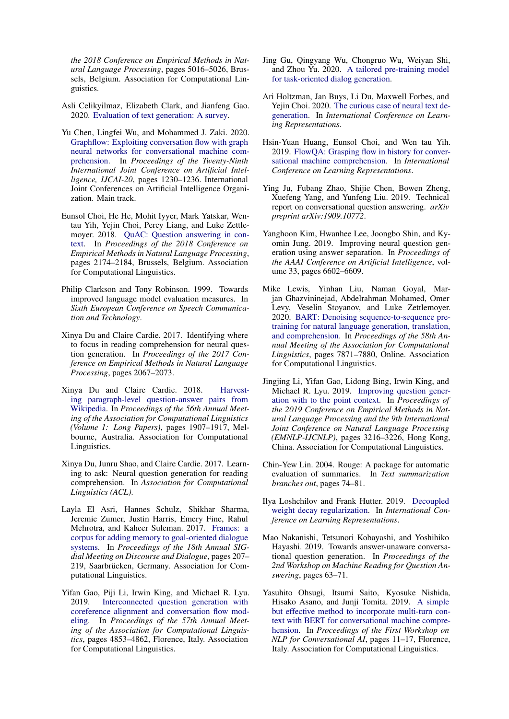*the 2018 Conference on Empirical Methods in Natural Language Processing*, pages 5016–5026, Brussels, Belgium. Association for Computational Linguistics.

- <span id="page-8-17"></span>Asli Celikyilmaz, Elizabeth Clark, and Jianfeng Gao. 2020. [Evaluation of text generation: A survey.](http://arxiv.org/abs/2006.14799)
- <span id="page-8-3"></span>Yu Chen, Lingfei Wu, and Mohammed J. Zaki. 2020. [Graphflow: Exploiting conversation flow with graph](https://doi.org/10.24963/ijcai.2020/171) [neural networks for conversational machine com](https://doi.org/10.24963/ijcai.2020/171)[prehension.](https://doi.org/10.24963/ijcai.2020/171) In *Proceedings of the Twenty-Ninth International Joint Conference on Artificial Intelligence, IJCAI-20*, pages 1230–1236. International Joint Conferences on Artificial Intelligence Organization. Main track.
- <span id="page-8-1"></span>Eunsol Choi, He He, Mohit Iyyer, Mark Yatskar, Wentau Yih, Yejin Choi, Percy Liang, and Luke Zettlemoyer. 2018. [QuAC: Question answering in con](https://doi.org/10.18653/v1/D18-1241)[text.](https://doi.org/10.18653/v1/D18-1241) In *Proceedings of the 2018 Conference on Empirical Methods in Natural Language Processing*, pages 2174–2184, Brussels, Belgium. Association for Computational Linguistics.
- <span id="page-8-16"></span>Philip Clarkson and Tony Robinson. 1999. Towards improved language model evaluation measures. In *Sixth European Conference on Speech Communication and Technology*.
- <span id="page-8-10"></span>Xinya Du and Claire Cardie. 2017. Identifying where to focus in reading comprehension for neural question generation. In *Proceedings of the 2017 Conference on Empirical Methods in Natural Language Processing*, pages 2067–2073.
- <span id="page-8-6"></span>Xinya Du and Claire Cardie. 2018. [Harvest](https://doi.org/10.18653/v1/P18-1177)[ing paragraph-level question-answer pairs from](https://doi.org/10.18653/v1/P18-1177) [Wikipedia.](https://doi.org/10.18653/v1/P18-1177) In *Proceedings of the 56th Annual Meeting of the Association for Computational Linguistics (Volume 1: Long Papers)*, pages 1907–1917, Melbourne, Australia. Association for Computational Linguistics.
- <span id="page-8-18"></span>Xinya Du, Junru Shao, and Claire Cardie. 2017. Learning to ask: Neural question generation for reading comprehension. In *Association for Computational Linguistics (ACL)*.
- <span id="page-8-0"></span>Layla El Asri, Hannes Schulz, Shikhar Sharma, Jeremie Zumer, Justin Harris, Emery Fine, Rahul Mehrotra, and Kaheer Suleman. 2017. [Frames: a](https://doi.org/10.18653/v1/W17-5526) [corpus for adding memory to goal-oriented dialogue](https://doi.org/10.18653/v1/W17-5526) [systems.](https://doi.org/10.18653/v1/W17-5526) In *Proceedings of the 18th Annual SIGdial Meeting on Discourse and Dialogue*, pages 207– 219, Saarbrücken, Germany. Association for Computational Linguistics.
- <span id="page-8-9"></span>Yifan Gao, Piji Li, Irwin King, and Michael R. Lyu. 2019. [Interconnected question generation with](https://doi.org/10.18653/v1/P19-1480) [coreference alignment and conversation flow mod](https://doi.org/10.18653/v1/P19-1480)[eling.](https://doi.org/10.18653/v1/P19-1480) In *Proceedings of the 57th Annual Meeting of the Association for Computational Linguistics*, pages 4853–4862, Florence, Italy. Association for Computational Linguistics.
- <span id="page-8-8"></span>Jing Gu, Qingyang Wu, Chongruo Wu, Weiyan Shi, and Zhou Yu. 2020. [A tailored pre-training model](http://arxiv.org/abs/2004.13835) [for task-oriented dialog generation.](http://arxiv.org/abs/2004.13835)
- <span id="page-8-14"></span>Ari Holtzman, Jan Buys, Li Du, Maxwell Forbes, and Yejin Choi. 2020. [The curious case of neural text de](https://openreview.net/forum?id=rygGQyrFvH)[generation.](https://openreview.net/forum?id=rygGQyrFvH) In *International Conference on Learning Representations*.
- <span id="page-8-2"></span>Hsin-Yuan Huang, Eunsol Choi, and Wen tau Yih. 2019. [FlowQA: Grasping flow in history for conver](https://openreview.net/forum?id=ByftGnR9KX)[sational machine comprehension.](https://openreview.net/forum?id=ByftGnR9KX) In *International Conference on Learning Representations*.
- <span id="page-8-4"></span>Ying Ju, Fubang Zhao, Shijie Chen, Bowen Zheng, Xuefeng Yang, and Yunfeng Liu. 2019. Technical report on conversational question answering. *arXiv preprint arXiv:1909.10772*.
- <span id="page-8-12"></span>Yanghoon Kim, Hwanhee Lee, Joongbo Shin, and Kyomin Jung. 2019. Improving neural question generation using answer separation. In *Proceedings of the AAAI Conference on Artificial Intelligence*, volume 33, pages 6602–6609.
- <span id="page-8-19"></span>Mike Lewis, Yinhan Liu, Naman Goyal, Marjan Ghazvininejad, Abdelrahman Mohamed, Omer Levy, Veselin Stoyanov, and Luke Zettlemoyer. 2020. [BART: Denoising sequence-to-sequence pre](https://doi.org/10.18653/v1/2020.acl-main.703)[training for natural language generation, translation,](https://doi.org/10.18653/v1/2020.acl-main.703) [and comprehension.](https://doi.org/10.18653/v1/2020.acl-main.703) In *Proceedings of the 58th Annual Meeting of the Association for Computational Linguistics*, pages 7871–7880, Online. Association for Computational Linguistics.
- <span id="page-8-11"></span>Jingjing Li, Yifan Gao, Lidong Bing, Irwin King, and Michael R. Lyu. 2019. [Improving question gener](https://doi.org/10.18653/v1/D19-1317)[ation with to the point context.](https://doi.org/10.18653/v1/D19-1317) In *Proceedings of the 2019 Conference on Empirical Methods in Natural Language Processing and the 9th International Joint Conference on Natural Language Processing (EMNLP-IJCNLP)*, pages 3216–3226, Hong Kong, China. Association for Computational Linguistics.
- <span id="page-8-15"></span>Chin-Yew Lin. 2004. Rouge: A package for automatic evaluation of summaries. In *Text summarization branches out*, pages 74–81.
- <span id="page-8-13"></span>Ilya Loshchilov and Frank Hutter. 2019. [Decoupled](https://openreview.net/forum?id=Bkg6RiCqY7) [weight decay regularization.](https://openreview.net/forum?id=Bkg6RiCqY7) In *International Conference on Learning Representations*.
- <span id="page-8-7"></span>Mao Nakanishi, Tetsunori Kobayashi, and Yoshihiko Hayashi. 2019. Towards answer-unaware conversational question generation. In *Proceedings of the 2nd Workshop on Machine Reading for Question Answering*, pages 63–71.
- <span id="page-8-5"></span>Yasuhito Ohsugi, Itsumi Saito, Kyosuke Nishida, Hisako Asano, and Junji Tomita. 2019. [A simple](https://doi.org/10.18653/v1/W19-4102) [but effective method to incorporate multi-turn con](https://doi.org/10.18653/v1/W19-4102)[text with BERT for conversational machine compre](https://doi.org/10.18653/v1/W19-4102)[hension.](https://doi.org/10.18653/v1/W19-4102) In *Proceedings of the First Workshop on NLP for Conversational AI*, pages 11–17, Florence, Italy. Association for Computational Linguistics.